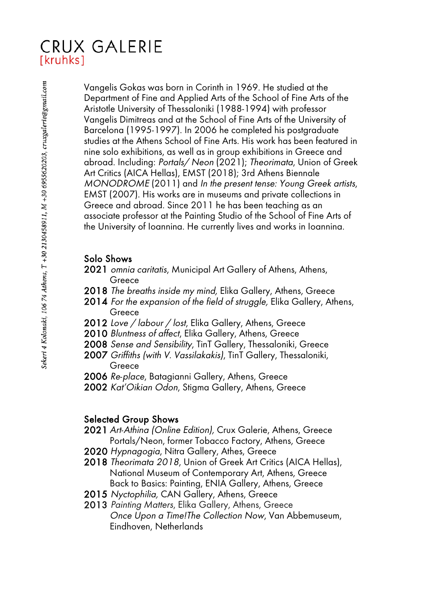## **CRUX GALERIE** [kruhks]

Vangelis Gokas was born in Corinth in 1969. He studied at the Department of Fine and Applied Arts of the School of Fine Arts of the Aristotle University of Thessaloniki (1988-1994) with professor Vangelis Dimitreas and at the School of Fine Arts of the University of Barcelona (1995-1997). In 2006 he completed his postgraduate studies at the Athens School of Fine Arts. His work has been featured in nine solo exhibitions, as well as in group exhibitions in Greece and abroad. Including: Portals/ Neon (2021); Theorimata, Union of Greek Art Critics (AICA Hellas), EMST (2018); 3rd Athens Biennale MONODROME (2011) and In the present tense: Young Greek artists, EMST (2007). His works are in museums and private collections in Greece and abroad. Since 2011 he has been teaching as an associate professor at the Painting Studio of the School of Fine Arts of the University of Ioannina. He currently lives and works in Ioannina.

## Solo Shows

- 2021 omnia caritatis, Municipal Art Gallery of Athens, Athens, **Greece**
- 2018 The breaths inside my mind, Elika Gallery, Athens, Greece
- 2014 For the expansion of the field of struggle, Elika Gallery, Athens, Greece
- 2012 Love / labour / lost, Elika Gallery, Athens, Greece
- 2010 Bluntness of affect, Elika Gallery, Athens, Greece
- 2008 Sense and Sensibility, TinT Gallery, Thessaloniki, Greece
- 2007 Griffiths (with V. Vassilakakis), TinT Gallery, Thessaloniki, Greece
- 2006 Re-place, Batagianni Gallery, Athens, Greece
- 2002 Kat'Oikian Odon, Stigma Gallery, Athens, Greece

## Selected Group Shows

- 2021 Art-Athina (Online Edition), Crux Galerie, Athens, Greece Portals/Neon, former Tobacco Factory, Athens, Greece
- 2020 Hypnagogia, Nitra Gallery, Athes, Greece
- 2018 Theorimata 2018, Union of Greek Art Critics (AICA Hellas), National Museum of Contemporary Art, Athens, Greece Back to Basics: Painting, ENIA Gallery, Athens, Greece
- 2015 Nyctophilia, CAN Gallery, Athens, Greece
- 2013 Painting Matters, Elika Gallery, Athens, Greece Once Upon a Time!The Collection Now, Van Abbemuseum, Eindhoven, Netherlands